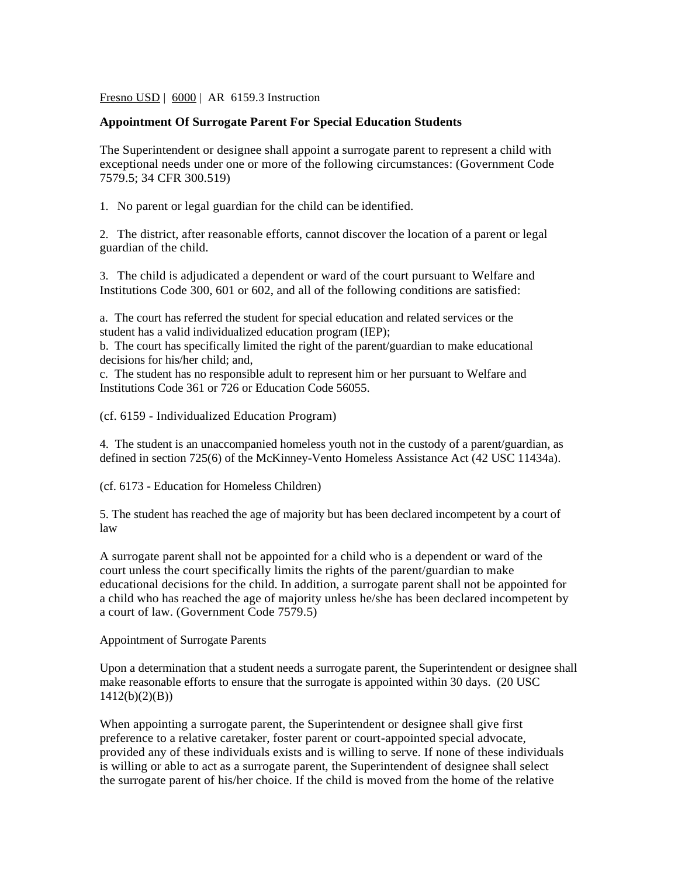Fresno USD | 6000 | AR 6159.3 Instruction

## **Appointment Of Surrogate Parent For Special Education Students**

The Superintendent or designee shall appoint a surrogate parent to represent a child with exceptional needs under one or more of the following circumstances: (Government Code 7579.5; 34 CFR 300.519)

1. No parent or legal guardian for the child can be identified.

2. The district, after reasonable efforts, cannot discover the location of a parent or legal guardian of the child.

3. The child is adjudicated a dependent or ward of the court pursuant to Welfare and Institutions Code 300, 601 or 602, and all of the following conditions are satisfied:

a. The court has referred the student for special education and related services or the student has a valid individualized education program (IEP);

b. The court has specifically limited the right of the parent/guardian to make educational decisions for his/her child; and,

c. The student has no responsible adult to represent him or her pursuant to Welfare and Institutions Code 361 or 726 or Education Code 56055.

(cf. 6159 - Individualized Education Program)

4. The student is an unaccompanied homeless youth not in the custody of a parent/guardian, as defined in section 725(6) of the McKinney-Vento Homeless Assistance Act (42 USC 11434a).

(cf. 6173 - Education for Homeless Children)

5. The student has reached the age of majority but has been declared incompetent by a court of law

A surrogate parent shall not be appointed for a child who is a dependent or ward of the court unless the court specifically limits the rights of the parent/guardian to make educational decisions for the child. In addition, a surrogate parent shall not be appointed for a child who has reached the age of majority unless he/she has been declared incompetent by a court of law. (Government Code 7579.5)

Appointment of Surrogate Parents

Upon a determination that a student needs a surrogate parent, the Superintendent or designee shall make reasonable efforts to ensure that the surrogate is appointed within 30 days. (20 USC 1412(b)(2)(B))

When appointing a surrogate parent, the Superintendent or designee shall give first preference to a relative caretaker, foster parent or court-appointed special advocate, provided any of these individuals exists and is willing to serve. If none of these individuals is willing or able to act as a surrogate parent, the Superintendent of designee shall select the surrogate parent of his/her choice. If the child is moved from the home of the relative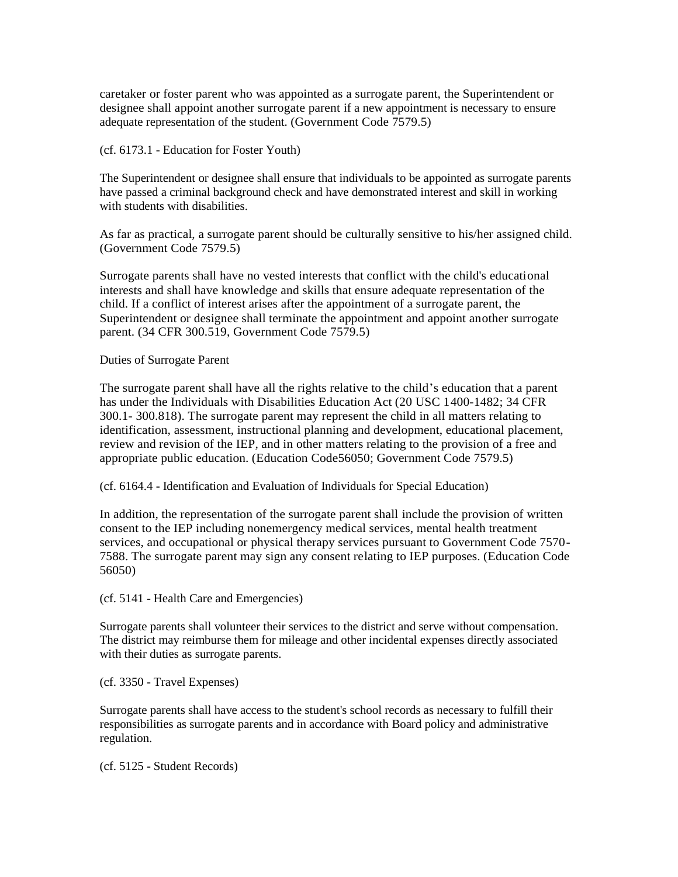caretaker or foster parent who was appointed as a surrogate parent, the Superintendent or designee shall appoint another surrogate parent if a new appointment is necessary to ensure adequate representation of the student. (Government Code 7579.5)

(cf. 6173.1 - Education for Foster Youth)

The Superintendent or designee shall ensure that individuals to be appointed as surrogate parents have passed a criminal background check and have demonstrated interest and skill in working with students with disabilities.

As far as practical, a surrogate parent should be culturally sensitive to his/her assigned child. (Government Code 7579.5)

Surrogate parents shall have no vested interests that conflict with the child's educational interests and shall have knowledge and skills that ensure adequate representation of the child. If a conflict of interest arises after the appointment of a surrogate parent, the Superintendent or designee shall terminate the appointment and appoint another surrogate parent. (34 CFR 300.519, Government Code 7579.5)

Duties of Surrogate Parent

The surrogate parent shall have all the rights relative to the child's education that a parent has under the Individuals with Disabilities Education Act (20 USC 1400-1482; 34 CFR 300.1- 300.818). The surrogate parent may represent the child in all matters relating to identification, assessment, instructional planning and development, educational placement, review and revision of the IEP, and in other matters relating to the provision of a free and appropriate public education. (Education Code56050; Government Code 7579.5)

(cf. 6164.4 - Identification and Evaluation of Individuals for Special Education)

In addition, the representation of the surrogate parent shall include the provision of written consent to the IEP including nonemergency medical services, mental health treatment services, and occupational or physical therapy services pursuant to Government Code 7570- 7588. The surrogate parent may sign any consent relating to IEP purposes. (Education Code 56050)

(cf. 5141 - Health Care and Emergencies)

Surrogate parents shall volunteer their services to the district and serve without compensation. The district may reimburse them for mileage and other incidental expenses directly associated with their duties as surrogate parents.

(cf. 3350 - Travel Expenses)

Surrogate parents shall have access to the student's school records as necessary to fulfill their responsibilities as surrogate parents and in accordance with Board policy and administrative regulation.

(cf. 5125 - Student Records)